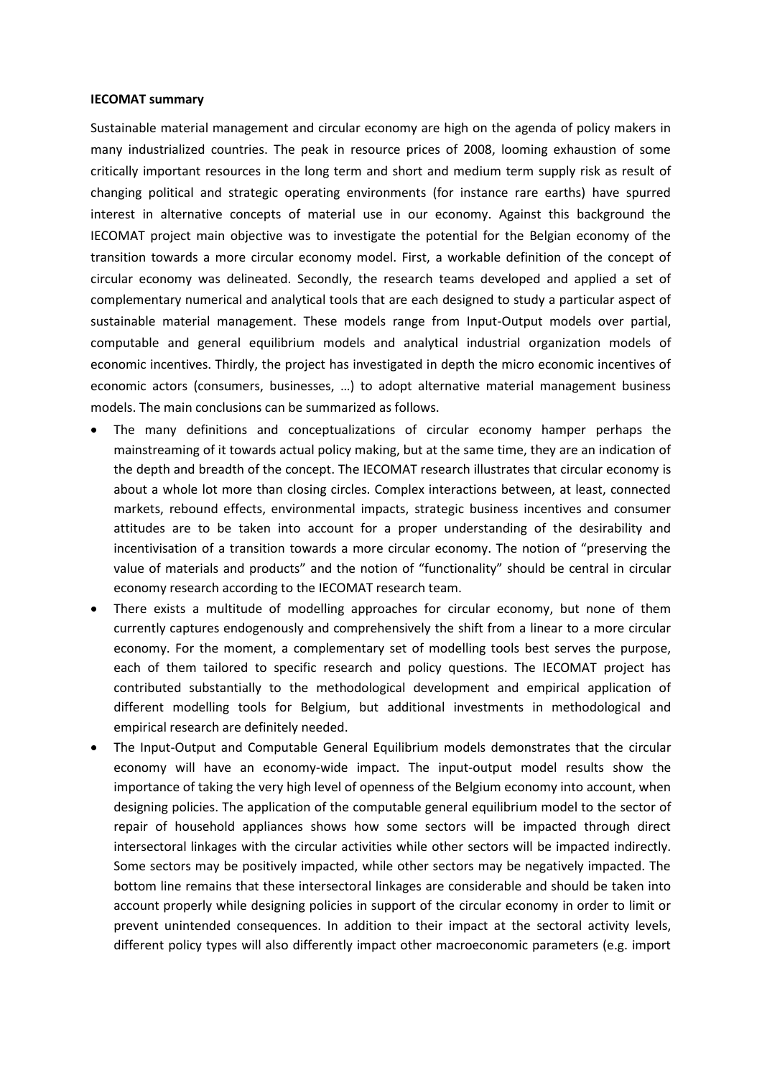## **IECOMAT summary**

Sustainable material management and circular economy are high on the agenda of policy makers in many industrialized countries. The peak in resource prices of 2008, looming exhaustion of some critically important resources in the long term and short and medium term supply risk as result of changing political and strategic operating environments (for instance rare earths) have spurred interest in alternative concepts of material use in our economy. Against this background the IECOMAT project main objective was to investigate the potential for the Belgian economy of the transition towards a more circular economy model. First, a workable definition of the concept of circular economy was delineated. Secondly, the research teams developed and applied a set of complementary numerical and analytical tools that are each designed to study a particular aspect of sustainable material management. These models range from Input-Output models over partial, computable and general equilibrium models and analytical industrial organization models of economic incentives. Thirdly, the project has investigated in depth the micro economic incentives of economic actors (consumers, businesses, …) to adopt alternative material management business models. The main conclusions can be summarized as follows.

- The many definitions and conceptualizations of circular economy hamper perhaps the mainstreaming of it towards actual policy making, but at the same time, they are an indication of the depth and breadth of the concept. The IECOMAT research illustrates that circular economy is about a whole lot more than closing circles. Complex interactions between, at least, connected markets, rebound effects, environmental impacts, strategic business incentives and consumer attitudes are to be taken into account for a proper understanding of the desirability and incentivisation of a transition towards a more circular economy. The notion of "preserving the value of materials and products" and the notion of "functionality" should be central in circular economy research according to the IECOMAT research team.
- There exists a multitude of modelling approaches for circular economy, but none of them currently captures endogenously and comprehensively the shift from a linear to a more circular economy. For the moment, a complementary set of modelling tools best serves the purpose, each of them tailored to specific research and policy questions. The IECOMAT project has contributed substantially to the methodological development and empirical application of different modelling tools for Belgium, but additional investments in methodological and empirical research are definitely needed.
- The Input-Output and Computable General Equilibrium models demonstrates that the circular economy will have an economy-wide impact. The input-output model results show the importance of taking the very high level of openness of the Belgium economy into account, when designing policies. The application of the computable general equilibrium model to the sector of repair of household appliances shows how some sectors will be impacted through direct intersectoral linkages with the circular activities while other sectors will be impacted indirectly. Some sectors may be positively impacted, while other sectors may be negatively impacted. The bottom line remains that these intersectoral linkages are considerable and should be taken into account properly while designing policies in support of the circular economy in order to limit or prevent unintended consequences. In addition to their impact at the sectoral activity levels, different policy types will also differently impact other macroeconomic parameters (e.g. import